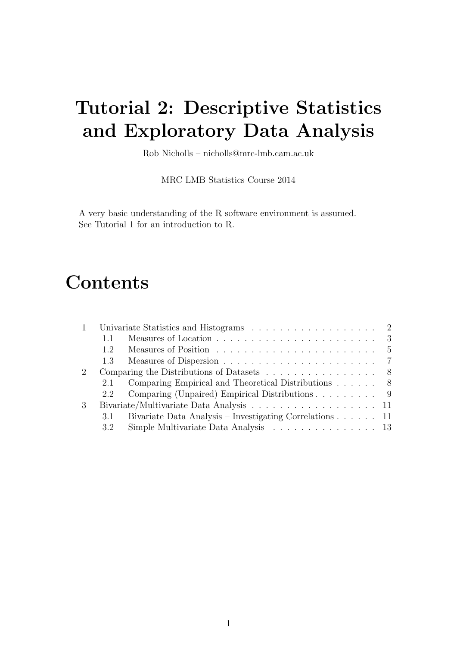# Tutorial 2: Descriptive Statistics and Exploratory Data Analysis

Rob Nicholls – nicholls@mrc-lmb.cam.ac.uk

MRC LMB Statistics Course 2014

A very basic understanding of the R software environment is assumed. See Tutorial 1 for an introduction to R.

# Contents

| 1 |         |                                                                                   |
|---|---------|-----------------------------------------------------------------------------------|
|   |         |                                                                                   |
|   | 1.2     | Measures of Position resources in the set of position resources in the set of $5$ |
|   | $1.3 -$ |                                                                                   |
| 2 |         | Comparing the Distributions of Datasets $\ldots \ldots \ldots \ldots \ldots$ 8    |
|   |         | 2.1 Comparing Empirical and Theoretical Distributions 8                           |
|   |         | 2.2 Comparing (Unpaired) Empirical Distributions 9                                |
| 3 |         |                                                                                   |
|   | 3.1     | Bivariate Data Analysis – Investigating Correlations $\ldots$ 11                  |
|   | 3.2     | Simple Multivariate Data Analysis $\ldots \ldots \ldots \ldots \ldots 13$         |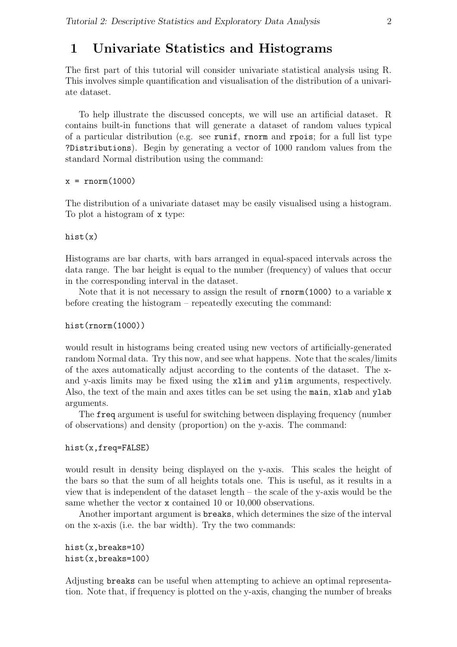# 1 Univariate Statistics and Histograms

The first part of this tutorial will consider univariate statistical analysis using R. This involves simple quantification and visualisation of the distribution of a univariate dataset.

To help illustrate the discussed concepts, we will use an artificial dataset. R contains built-in functions that will generate a dataset of random values typical of a particular distribution (e.g. see runif, rnorm and rpois; for a full list type ?Distributions). Begin by generating a vector of 1000 random values from the standard Normal distribution using the command:

 $x = rnorm(1000)$ 

The distribution of a univariate dataset may be easily visualised using a histogram. To plot a histogram of x type:

hist(x)

Histograms are bar charts, with bars arranged in equal-spaced intervals across the data range. The bar height is equal to the number (frequency) of values that occur in the corresponding interval in the dataset.

Note that it is not necessary to assign the result of  $\text{rnorm}(1000)$  to a variable x before creating the histogram – repeatedly executing the command:

#### hist(rnorm(1000))

would result in histograms being created using new vectors of artificially-generated random Normal data. Try this now, and see what happens. Note that the scales/limits of the axes automatically adjust according to the contents of the dataset. The xand y-axis limits may be fixed using the xlim and ylim arguments, respectively. Also, the text of the main and axes titles can be set using the main, xlab and ylab arguments.

The freq argument is useful for switching between displaying frequency (number of observations) and density (proportion) on the y-axis. The command:

#### hist(x,freq=FALSE)

would result in density being displayed on the y-axis. This scales the height of the bars so that the sum of all heights totals one. This is useful, as it results in a view that is independent of the dataset length – the scale of the y-axis would be the same whether the vector **x** contained 10 or 10,000 observations.

Another important argument is breaks, which determines the size of the interval on the x-axis (i.e. the bar width). Try the two commands:

```
hist(x,breaks=10)
hist(x,breaks=100)
```
Adjusting breaks can be useful when attempting to achieve an optimal representation. Note that, if frequency is plotted on the y-axis, changing the number of breaks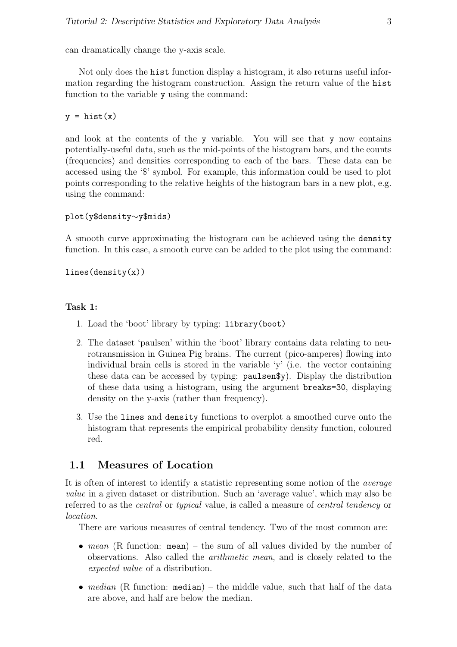can dramatically change the y-axis scale.

Not only does the hist function display a histogram, it also returns useful information regarding the histogram construction. Assign the return value of the hist function to the variable y using the command:

 $y = \text{hist}(x)$ 

and look at the contents of the y variable. You will see that y now contains potentially-useful data, such as the mid-points of the histogram bars, and the counts (frequencies) and densities corresponding to each of the bars. These data can be accessed using the '\$' symbol. For example, this information could be used to plot points corresponding to the relative heights of the histogram bars in a new plot, e.g. using the command:

```
plot(y$density∼y$mids)
```
A smooth curve approximating the histogram can be achieved using the density function. In this case, a smooth curve can be added to the plot using the command:

 $lines(density(x))$ 

#### Task 1:

- 1. Load the 'boot' library by typing: library(boot)
- 2. The dataset 'paulsen' within the 'boot' library contains data relating to neurotransmission in Guinea Pig brains. The current (pico-amperes) flowing into individual brain cells is stored in the variable 'y' (i.e. the vector containing these data can be accessed by typing: paulsen\$y). Display the distribution of these data using a histogram, using the argument breaks=30, displaying density on the y-axis (rather than frequency).
- 3. Use the lines and density functions to overplot a smoothed curve onto the histogram that represents the empirical probability density function, coloured red.

# 1.1 Measures of Location

It is often of interest to identify a statistic representing some notion of the average value in a given dataset or distribution. Such an 'average value', which may also be referred to as the *central* or *typical* value, is called a measure of *central tendency* or location.

There are various measures of central tendency. Two of the most common are:

- mean (R function: mean) the sum of all values divided by the number of observations. Also called the arithmetic mean, and is closely related to the expected value of a distribution.
- median (R function: median) the middle value, such that half of the data are above, and half are below the median.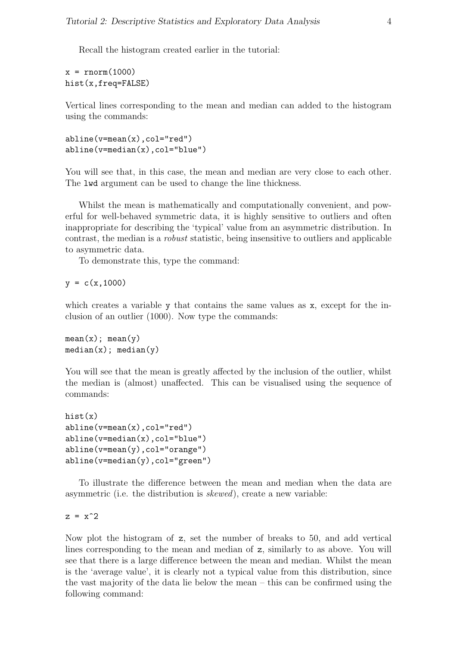Recall the histogram created earlier in the tutorial:

 $x = rnorm(1000)$ hist(x,freq=FALSE)

Vertical lines corresponding to the mean and median can added to the histogram using the commands:

abline(v=mean(x),col="red") abline(v=median(x),col="blue")

You will see that, in this case, the mean and median are very close to each other. The lwd argument can be used to change the line thickness.

Whilst the mean is mathematically and computationally convenient, and powerful for well-behaved symmetric data, it is highly sensitive to outliers and often inappropriate for describing the 'typical' value from an asymmetric distribution. In contrast, the median is a robust statistic, being insensitive to outliers and applicable to asymmetric data.

To demonstrate this, type the command:

 $y = c(x, 1000)$ 

which creates a variable y that contains the same values as x, except for the inclusion of an outlier (1000). Now type the commands:

 $mean(x)$ ; mean(y)  $median(x)$ ; median(y)

You will see that the mean is greatly affected by the inclusion of the outlier, whilst the median is (almost) unaffected. This can be visualised using the sequence of commands:

```
hist(x)
abline(v=mean(x),col="red")
abline(v=median(x),col="blue")
abline(v=mean(y),col="orange")
abline(v=median(y),col="green")
```
To illustrate the difference between the mean and median when the data are asymmetric (i.e. the distribution is skewed), create a new variable:

 $z = x^2$ 

Now plot the histogram of z, set the number of breaks to 50, and add vertical lines corresponding to the mean and median of z, similarly to as above. You will see that there is a large difference between the mean and median. Whilst the mean is the 'average value', it is clearly not a typical value from this distribution, since the vast majority of the data lie below the mean – this can be confirmed using the following command: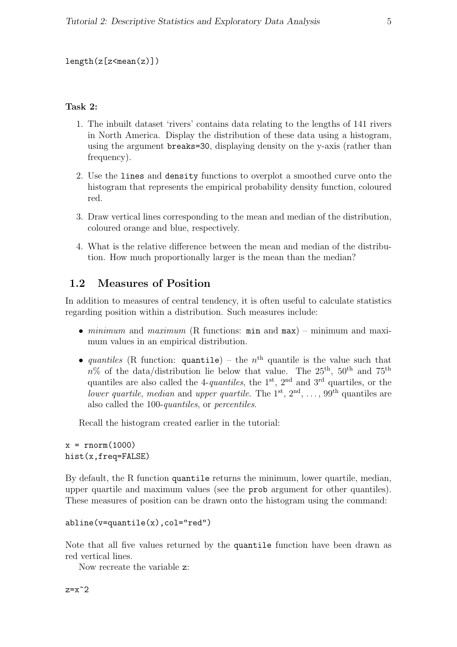## length(z[z<mean(z)])

## Task 2:

- 1. The inbuilt dataset 'rivers' contains data relating to the lengths of 141 rivers in North America. Display the distribution of these data using a histogram, using the argument breaks=30, displaying density on the y-axis (rather than frequency).
- 2. Use the lines and density functions to overplot a smoothed curve onto the histogram that represents the empirical probability density function, coloured red.
- 3. Draw vertical lines corresponding to the mean and median of the distribution, coloured orange and blue, respectively.
- 4. What is the relative difference between the mean and median of the distribution. How much proportionally larger is the mean than the median?

# 1.2 Measures of Position

In addition to measures of central tendency, it is often useful to calculate statistics regarding position within a distribution. Such measures include:

- minimum and maximum (R functions:  $min$  and  $max$ ) minimum and maximum values in an empirical distribution.
- quantiles (R function: quantile) the  $n<sup>th</sup>$  quantile is the value such that  $n\%$  of the data/distribution lie below that value. The 25<sup>th</sup>, 50<sup>th</sup> and 75<sup>th</sup> quantiles are also called the 4-quantiles, the  $1<sup>st</sup>$ ,  $2<sup>nd</sup>$  and  $3<sup>rd</sup>$  quartiles, or the lower quartile, median and upper quartile. The 1<sup>st</sup>,  $2<sup>nd</sup>$ , ...,  $99<sup>th</sup>$  quantiles are also called the 100-quantiles, or percentiles.

Recall the histogram created earlier in the tutorial:

 $x = rnorm(1000)$ hist(x,freq=FALSE)

By default, the R function quantile returns the minimum, lower quartile, median, upper quartile and maximum values (see the prob argument for other quantiles). These measures of position can be drawn onto the histogram using the command:

```
abline(v=quantile(x),col="red")
```
Note that all five values returned by the quantile function have been drawn as red vertical lines.

Now recreate the variable z: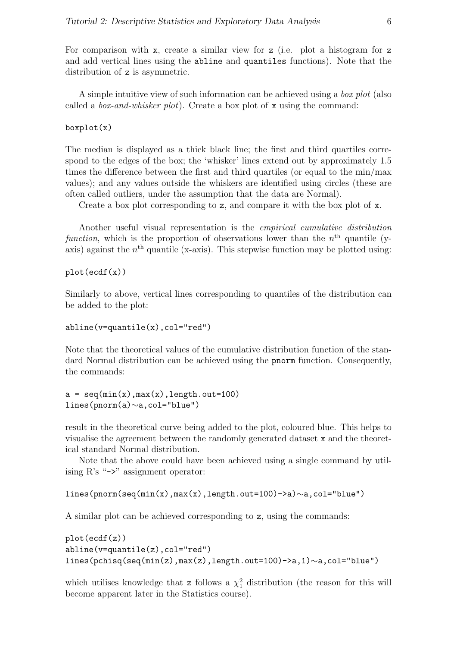For comparison with x, create a similar view for z (i.e. plot a histogram for z and add vertical lines using the abline and quantiles functions). Note that the distribution of z is asymmetric.

A simple intuitive view of such information can be achieved using a *box plot* (also called a *box-and-whisker plot*). Create a box plot of x using the command:

#### boxplot(x)

The median is displayed as a thick black line; the first and third quartiles correspond to the edges of the box; the 'whisker' lines extend out by approximately 1.5 times the difference between the first and third quartiles (or equal to the min/max values); and any values outside the whiskers are identified using circles (these are often called outliers, under the assumption that the data are Normal).

Create a box plot corresponding to z, and compare it with the box plot of x.

Another useful visual representation is the empirical cumulative distribution function, which is the proportion of observations lower than the  $n<sup>th</sup>$  quantile (yaxis) against the  $n<sup>th</sup>$  quantile (x-axis). This stepwise function may be plotted using:

```
plot(ecdf(x))
```
Similarly to above, vertical lines corresponding to quantiles of the distribution can be added to the plot:

#### abline(v=quantile(x),col="red")

Note that the theoretical values of the cumulative distribution function of the standard Normal distribution can be achieved using the pnorm function. Consequently, the commands:

```
a = \text{seq}(\min(x), \max(x), \text{length}.\text{out}=100)lines(pnorm(a)∼a,col="blue")
```
result in the theoretical curve being added to the plot, coloured blue. This helps to visualise the agreement between the randomly generated dataset x and the theoretical standard Normal distribution.

Note that the above could have been achieved using a single command by utilising  $R$ 's "->" assignment operator:

```
lines(pnorm(seq(min(x),max(x),length.out=100)->a)∼a,col="blue")
```
A similar plot can be achieved corresponding to z, using the commands:

```
plot(ecdf(z))
abline(v=quantile(z),col="red")
lines(pchisq(seq(min(z),max(z),length.out=100)->a,1)∼a,col="blue")
```
which utilises knowledge that z follows a  $\chi_1^2$  distribution (the reason for this will become apparent later in the Statistics course).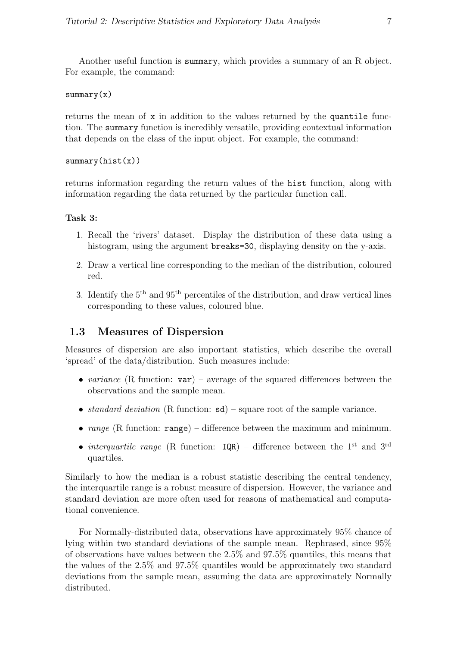Another useful function is summary, which provides a summary of an R object. For example, the command:

### summary(x)

returns the mean of x in addition to the values returned by the quantile function. The summary function is incredibly versatile, providing contextual information that depends on the class of the input object. For example, the command:

 $summary(hist(x))$ 

returns information regarding the return values of the hist function, along with information regarding the data returned by the particular function call.

## Task 3:

- 1. Recall the 'rivers' dataset. Display the distribution of these data using a histogram, using the argument breaks=30, displaying density on the y-axis.
- 2. Draw a vertical line corresponding to the median of the distribution, coloured red.
- 3. Identify the  $5<sup>th</sup>$  and  $95<sup>th</sup>$  percentiles of the distribution, and draw vertical lines corresponding to these values, coloured blue.

# 1.3 Measures of Dispersion

Measures of dispersion are also important statistics, which describe the overall 'spread' of the data/distribution. Such measures include:

- variance (R function:  $var$ ) average of the squared differences between the observations and the sample mean.
- standard deviation (R function:  $sd$ ) square root of the sample variance.
- range (R function: range) difference between the maximum and minimum.
- interquartile range (R function:  $IQR$ ) difference between the 1<sup>st</sup> and 3<sup>rd</sup> quartiles.

Similarly to how the median is a robust statistic describing the central tendency, the interquartile range is a robust measure of dispersion. However, the variance and standard deviation are more often used for reasons of mathematical and computational convenience.

For Normally-distributed data, observations have approximately 95% chance of lying within two standard deviations of the sample mean. Rephrased, since 95% of observations have values between the 2.5% and 97.5% quantiles, this means that the values of the 2.5% and 97.5% quantiles would be approximately two standard deviations from the sample mean, assuming the data are approximately Normally distributed.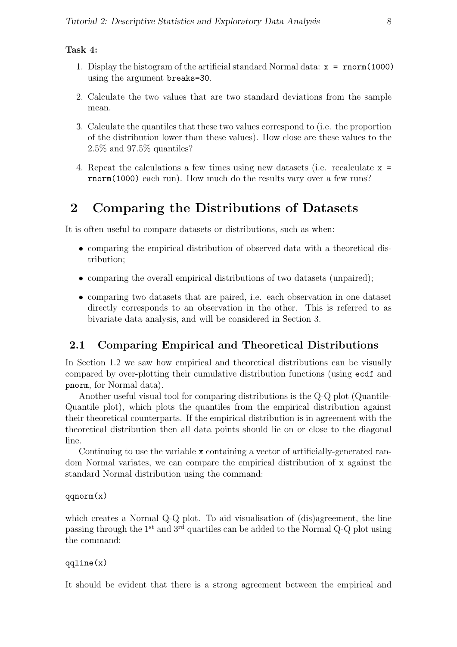#### Task 4:

- 1. Display the histogram of the artificial standard Normal data: x = rnorm(1000) using the argument breaks=30.
- 2. Calculate the two values that are two standard deviations from the sample mean.
- 3. Calculate the quantiles that these two values correspond to (i.e. the proportion of the distribution lower than these values). How close are these values to the 2.5% and 97.5% quantiles?
- 4. Repeat the calculations a few times using new datasets (i.e. recalculate x = rnorm(1000) each run). How much do the results vary over a few runs?

# 2 Comparing the Distributions of Datasets

It is often useful to compare datasets or distributions, such as when:

- comparing the empirical distribution of observed data with a theoretical distribution;
- comparing the overall empirical distributions of two datasets (unpaired);
- comparing two datasets that are paired, i.e. each observation in one dataset directly corresponds to an observation in the other. This is referred to as bivariate data analysis, and will be considered in Section 3.

# 2.1 Comparing Empirical and Theoretical Distributions

In Section 1.2 we saw how empirical and theoretical distributions can be visually compared by over-plotting their cumulative distribution functions (using ecdf and pnorm, for Normal data).

Another useful visual tool for comparing distributions is the Q-Q plot (Quantile-Quantile plot), which plots the quantiles from the empirical distribution against their theoretical counterparts. If the empirical distribution is in agreement with the theoretical distribution then all data points should lie on or close to the diagonal line.

Continuing to use the variable x containing a vector of artificially-generated random Normal variates, we can compare the empirical distribution of x against the standard Normal distribution using the command:

qqnorm(x)

which creates a Normal Q-Q plot. To aid visualisation of (dis)agreement, the line passing through the 1st and 3rd quartiles can be added to the Normal Q-Q plot using the command:

#### qqline(x)

It should be evident that there is a strong agreement between the empirical and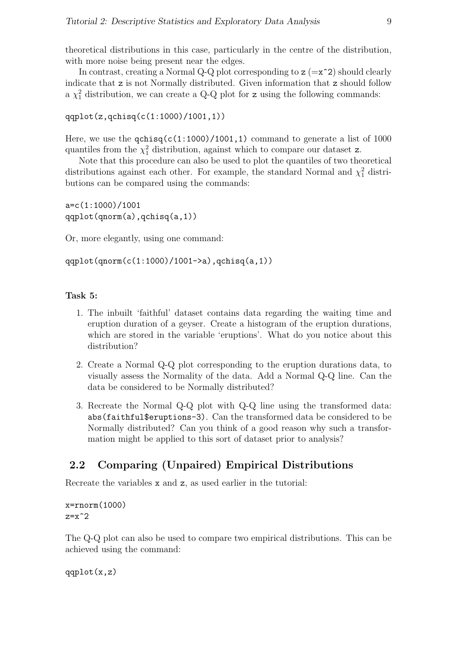theoretical distributions in this case, particularly in the centre of the distribution, with more noise being present near the edges.

In contrast, creating a Normal Q-Q plot corresponding to  $z = x^2$ ) should clearly indicate that z is not Normally distributed. Given information that z should follow a  $\chi_1^2$  distribution, we can create a Q-Q plot for z using the following commands:

```
qqplot(z,qchisq(c(1:1000)/1001,1))
```
Here, we use the  $qchisq(c(1:1000)/1001,1)$  command to generate a list of 1000 quantiles from the  $\chi^2$  distribution, against which to compare our dataset z.

Note that this procedure can also be used to plot the quantiles of two theoretical distributions against each other. For example, the standard Normal and  $\chi^2$  distributions can be compared using the commands:

```
a=c(1:1000)/1001
qqplot(qnorm(a),qchisq(a,1))
```
Or, more elegantly, using one command:

```
qqplot(qnorm(c(1:1000)/1001->a),qchisq(a,1))
```
#### Task 5:

- 1. The inbuilt 'faithful' dataset contains data regarding the waiting time and eruption duration of a geyser. Create a histogram of the eruption durations, which are stored in the variable 'eruptions'. What do you notice about this distribution?
- 2. Create a Normal Q-Q plot corresponding to the eruption durations data, to visually assess the Normality of the data. Add a Normal Q-Q line. Can the data be considered to be Normally distributed?
- 3. Recreate the Normal Q-Q plot with Q-Q line using the transformed data: abs(faithful\$eruptions-3). Can the transformed data be considered to be Normally distributed? Can you think of a good reason why such a transformation might be applied to this sort of dataset prior to analysis?

# 2.2 Comparing (Unpaired) Empirical Distributions

Recreate the variables x and z, as used earlier in the tutorial:

```
x=rnorm(1000)
z=x^2
```
The Q-Q plot can also be used to compare two empirical distributions. This can be achieved using the command:

```
qqplot(x,z)
```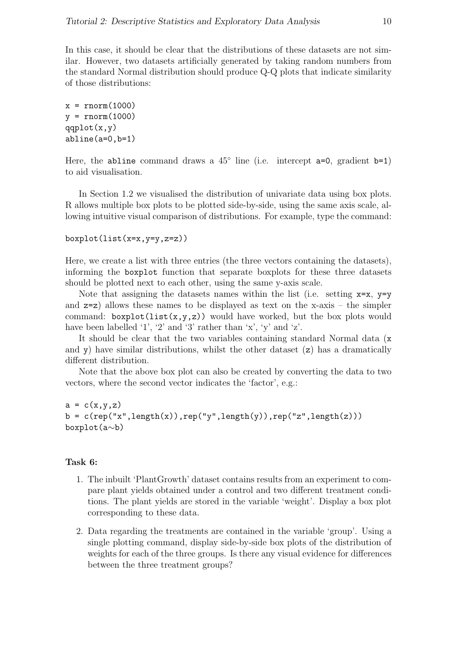In this case, it should be clear that the distributions of these datasets are not similar. However, two datasets artificially generated by taking random numbers from the standard Normal distribution should produce Q-Q plots that indicate similarity of those distributions:

 $x = rnorm(1000)$  $y = rnorm(1000)$  $qqplot(x,y)$ abline(a=0,b=1)

Here, the abline command draws a  $45^{\circ}$  line (i.e. intercept a=0, gradient b=1) to aid visualisation.

In Section 1.2 we visualised the distribution of univariate data using box plots. R allows multiple box plots to be plotted side-by-side, using the same axis scale, allowing intuitive visual comparison of distributions. For example, type the command:

 $boxplot(list(x=x,y=y,z=z))$ 

Here, we create a list with three entries (the three vectors containing the datasets), informing the boxplot function that separate boxplots for these three datasets should be plotted next to each other, using the same y-axis scale.

Note that assigning the datasets names within the list (i.e. setting  $x=x$ ,  $y=y$ and  $z=z$ ) allows these names to be displayed as text on the x-axis – the simpler command:  $boxplot(list(x,y,z))$  would have worked, but the box plots would have been labelled '1', '2' and '3' rather than 'x', 'y' and 'z'.

It should be clear that the two variables containing standard Normal data (x and y) have similar distributions, whilst the other dataset (z) has a dramatically different distribution.

Note that the above box plot can also be created by converting the data to two vectors, where the second vector indicates the 'factor', e.g.:

```
a = c(x,y,z)b = c(rep("x", length(x)), rep("y", length(y)), rep("z", length(z)))boxplot(a∼b)
```
#### Task 6:

- 1. The inbuilt 'PlantGrowth' dataset contains results from an experiment to compare plant yields obtained under a control and two different treatment conditions. The plant yields are stored in the variable 'weight'. Display a box plot corresponding to these data.
- 2. Data regarding the treatments are contained in the variable 'group'. Using a single plotting command, display side-by-side box plots of the distribution of weights for each of the three groups. Is there any visual evidence for differences between the three treatment groups?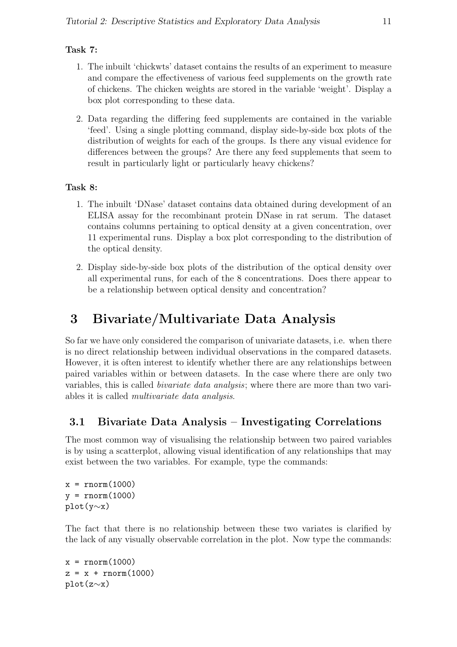# Task 7:

- 1. The inbuilt 'chickwts' dataset contains the results of an experiment to measure and compare the effectiveness of various feed supplements on the growth rate of chickens. The chicken weights are stored in the variable 'weight'. Display a box plot corresponding to these data.
- 2. Data regarding the differing feed supplements are contained in the variable 'feed'. Using a single plotting command, display side-by-side box plots of the distribution of weights for each of the groups. Is there any visual evidence for differences between the groups? Are there any feed supplements that seem to result in particularly light or particularly heavy chickens?

# Task 8:

- 1. The inbuilt 'DNase' dataset contains data obtained during development of an ELISA assay for the recombinant protein DNase in rat serum. The dataset contains columns pertaining to optical density at a given concentration, over 11 experimental runs. Display a box plot corresponding to the distribution of the optical density.
- 2. Display side-by-side box plots of the distribution of the optical density over all experimental runs, for each of the 8 concentrations. Does there appear to be a relationship between optical density and concentration?

# 3 Bivariate/Multivariate Data Analysis

So far we have only considered the comparison of univariate datasets, i.e. when there is no direct relationship between individual observations in the compared datasets. However, it is often interest to identify whether there are any relationships between paired variables within or between datasets. In the case where there are only two variables, this is called *bivariate data analysis*; where there are more than two variables it is called multivariate data analysis.

# 3.1 Bivariate Data Analysis – Investigating Correlations

The most common way of visualising the relationship between two paired variables is by using a scatterplot, allowing visual identification of any relationships that may exist between the two variables. For example, type the commands:

 $x = rnorm(1000)$  $y = rnorm(1000)$ plot(y∼x)

The fact that there is no relationship between these two variates is clarified by the lack of any visually observable correlation in the plot. Now type the commands:

```
x = rnorm(1000)z = x + rnorm(1000)plot(z∼x)
```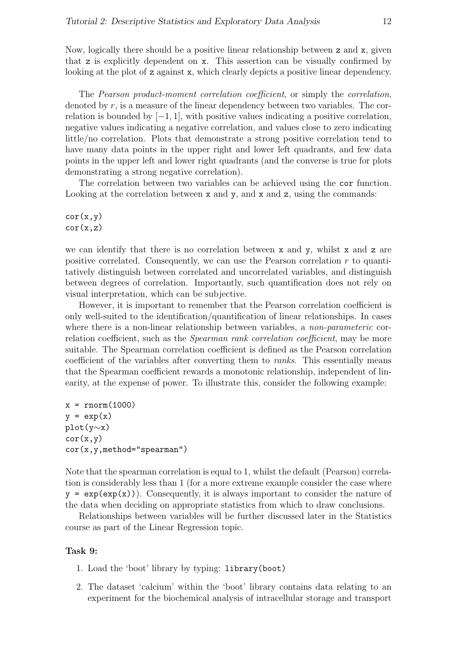Now, logically there should be a positive linear relationship between z and x, given that z is explicitly dependent on x. This assertion can be visually confirmed by looking at the plot of z against x, which clearly depicts a positive linear dependency.

The Pearson product-moment correlation coefficient, or simply the correlation, denoted by r, is a measure of the linear dependency between two variables. The correlation is bounded by  $[-1, 1]$ , with positive values indicating a positive correlation, negative values indicating a negative correlation, and values close to zero indicating little/no correlation. Plots that demonstrate a strong positive correlation tend to have many data points in the upper right and lower left quadrants, and few data points in the upper left and lower right quadrants (and the converse is true for plots demonstrating a strong negative correlation).

The correlation between two variables can be achieved using the cor function. Looking at the correlation between x and y, and x and z, using the commands:

 $cor(x, y)$  $cor(x, z)$ 

we can identify that there is no correlation between  $x$  and  $y$ , whilst  $x$  and  $z$  are positive correlated. Consequently, we can use the Pearson correlation  $r$  to quantitatively distinguish between correlated and uncorrelated variables, and distinguish between degrees of correlation. Importantly, such quantification does not rely on visual interpretation, which can be subjective.

However, it is important to remember that the Pearson correlation coefficient is only well-suited to the identification/quantification of linear relationships. In cases where there is a non-linear relationship between variables, a *non-parameteric* correlation coefficient, such as the *Spearman rank correlation coefficient*, may be more suitable. The Spearman correlation coefficient is defined as the Pearson correlation coefficient of the variables after converting them to ranks. This essentially means that the Spearman coefficient rewards a monotonic relationship, independent of linearity, at the expense of power. To illustrate this, consider the following example:

```
x = rnorm(1000)y = exp(x)plot(y∼x)
cor(x,y)cor(x,y,method="spearman")
```
Note that the spearman correlation is equal to 1, whilst the default (Pearson) correlation is considerably less than 1 (for a more extreme example consider the case where  $y = exp(exp(x))$ . Consequently, it is always important to consider the nature of the data when deciding on appropriate statistics from which to draw conclusions.

Relationships between variables will be further discussed later in the Statistics course as part of the Linear Regression topic.

#### Task 9:

- 1. Load the 'boot' library by typing: library(boot)
- 2. The dataset 'calcium' within the 'boot' library contains data relating to an experiment for the biochemical analysis of intracellular storage and transport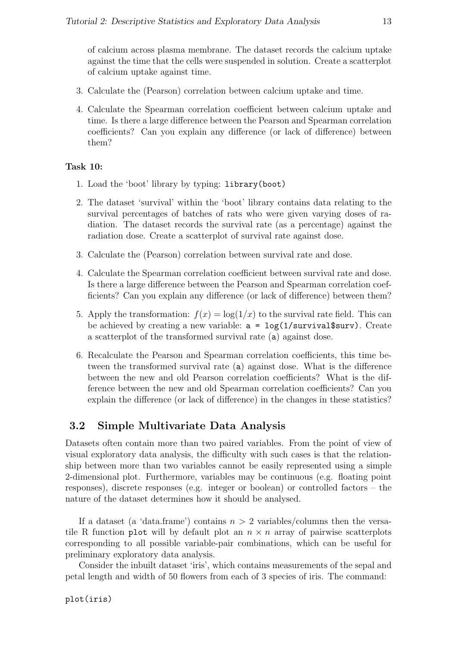of calcium across plasma membrane. The dataset records the calcium uptake against the time that the cells were suspended in solution. Create a scatterplot of calcium uptake against time.

- 3. Calculate the (Pearson) correlation between calcium uptake and time.
- 4. Calculate the Spearman correlation coefficient between calcium uptake and time. Is there a large difference between the Pearson and Spearman correlation coefficients? Can you explain any difference (or lack of difference) between them?

#### Task 10:

- 1. Load the 'boot' library by typing: library(boot)
- 2. The dataset 'survival' within the 'boot' library contains data relating to the survival percentages of batches of rats who were given varying doses of radiation. The dataset records the survival rate (as a percentage) against the radiation dose. Create a scatterplot of survival rate against dose.
- 3. Calculate the (Pearson) correlation between survival rate and dose.
- 4. Calculate the Spearman correlation coefficient between survival rate and dose. Is there a large difference between the Pearson and Spearman correlation coefficients? Can you explain any difference (or lack of difference) between them?
- 5. Apply the transformation:  $f(x) = \log(1/x)$  to the survival rate field. This can be achieved by creating a new variable:  $a = \log(1/survival$ surv). Create a scatterplot of the transformed survival rate (a) against dose.
- 6. Recalculate the Pearson and Spearman correlation coefficients, this time between the transformed survival rate (a) against dose. What is the difference between the new and old Pearson correlation coefficients? What is the difference between the new and old Spearman correlation coefficients? Can you explain the difference (or lack of difference) in the changes in these statistics?

## 3.2 Simple Multivariate Data Analysis

Datasets often contain more than two paired variables. From the point of view of visual exploratory data analysis, the difficulty with such cases is that the relationship between more than two variables cannot be easily represented using a simple 2-dimensional plot. Furthermore, variables may be continuous (e.g. floating point responses), discrete responses (e.g. integer or boolean) or controlled factors – the nature of the dataset determines how it should be analysed.

If a dataset (a 'data.frame') contains  $n > 2$  variables/columns then the versatile R function plot will by default plot an  $n \times n$  array of pairwise scatterplots corresponding to all possible variable-pair combinations, which can be useful for preliminary exploratory data analysis.

Consider the inbuilt dataset 'iris', which contains measurements of the sepal and petal length and width of 50 flowers from each of 3 species of iris. The command: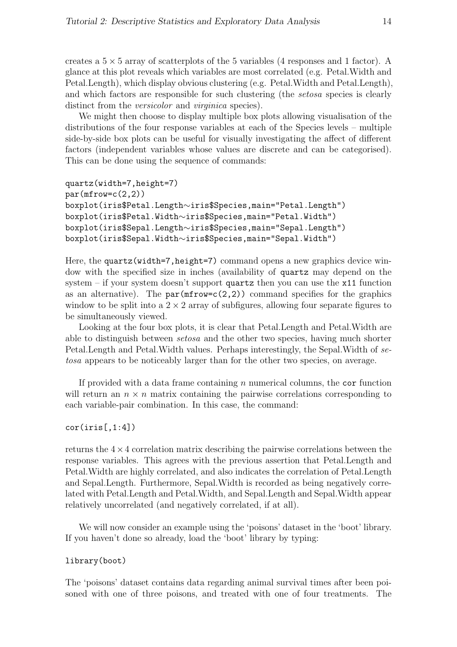creates a  $5 \times 5$  array of scatterplots of the 5 variables (4 responses and 1 factor). A glance at this plot reveals which variables are most correlated (e.g. Petal.Width and Petal.Length), which display obvious clustering (e.g. Petal.Width and Petal.Length), and which factors are responsible for such clustering (the *setosa* species is clearly distinct from the *versicolor* and *virginica* species).

We might then choose to display multiple box plots allowing visualisation of the distributions of the four response variables at each of the Species levels – multiple side-by-side box plots can be useful for visually investigating the affect of different factors (independent variables whose values are discrete and can be categorised). This can be done using the sequence of commands:

```
quartz(width=7,height=7)
par(mfrow=c(2,2))boxplot(iris$Petal.Length∼iris$Species,main="Petal.Length")
boxplot(iris$Petal.Width∼iris$Species,main="Petal.Width")
boxplot(iris$Sepal.Length∼iris$Species,main="Sepal.Length")
boxplot(iris$Sepal.Width∼iris$Species,main="Sepal.Width")
```
Here, the quartz (width=7,height=7) command opens a new graphics device window with the specified size in inches (availability of quartz may depend on the system – if your system doesn't support quartz then you can use the  $x11$  function as an alternative). The  $par(mfrow=c(2,2))$  command specifies for the graphics window to be split into a  $2 \times 2$  array of subfigures, allowing four separate figures to be simultaneously viewed.

Looking at the four box plots, it is clear that Petal.Length and Petal.Width are able to distinguish between setosa and the other two species, having much shorter Petal.Length and Petal.Width values. Perhaps interestingly, the Sepal.Width of setosa appears to be noticeably larger than for the other two species, on average.

If provided with a data frame containing  $n$  numerical columns, the cor function will return an  $n \times n$  matrix containing the pairwise correlations corresponding to each variable-pair combination. In this case, the command:

#### $cor(iris[,1:4])$

returns the  $4 \times 4$  correlation matrix describing the pairwise correlations between the response variables. This agrees with the previous assertion that Petal.Length and Petal.Width are highly correlated, and also indicates the correlation of Petal.Length and Sepal.Length. Furthermore, Sepal.Width is recorded as being negatively correlated with Petal.Length and Petal.Width, and Sepal.Length and Sepal.Width appear relatively uncorrelated (and negatively correlated, if at all).

We will now consider an example using the 'poisons' dataset in the 'boot' library. If you haven't done so already, load the 'boot' library by typing:

#### library(boot)

The 'poisons' dataset contains data regarding animal survival times after been poisoned with one of three poisons, and treated with one of four treatments. The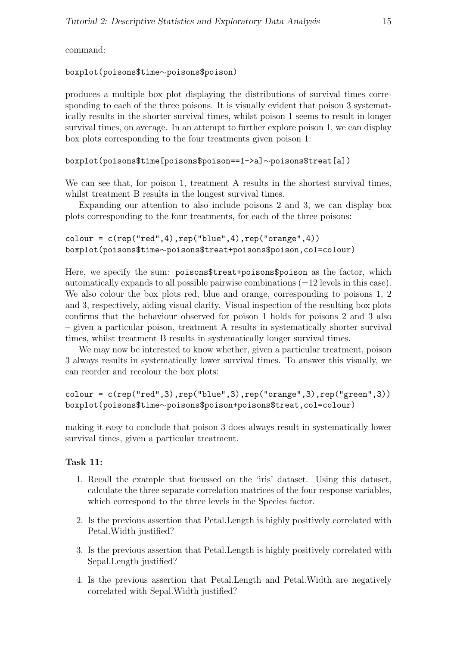command:

## boxplot(poisons\$time∼poisons\$poison)

produces a multiple box plot displaying the distributions of survival times corresponding to each of the three poisons. It is visually evident that poison 3 systematically results in the shorter survival times, whilst poison 1 seems to result in longer survival times, on average. In an attempt to further explore poison 1, we can display box plots corresponding to the four treatments given poison 1:

```
boxplot(poisons$time[poisons$poison==1->a]∼poisons$treat[a])
```
We can see that, for poison 1, treatment A results in the shortest survival times, whilst treatment B results in the longest survival times.

Expanding our attention to also include poisons 2 and 3, we can display box plots corresponding to the four treatments, for each of the three poisons:

```
color = c(rep("red", 4), rep("blue", 4), rep("orange", 4))boxplot(poisons$time∼poisons$treat+poisons$poison,col=colour)
```
Here, we specify the sum: poisons\$treat+poisons\$poison as the factor, which automatically expands to all possible pairwise combinations (=12 levels in this case). We also colour the box plots red, blue and orange, corresponding to poisons 1, 2 and 3, respectively, aiding visual clarity. Visual inspection of the resulting box plots confirms that the behaviour observed for poison 1 holds for poisons 2 and 3 also – given a particular poison, treatment A results in systematically shorter survival times, whilst treatment B results in systematically longer survival times.

We may now be interested to know whether, given a particular treatment, poison 3 always results in systematically lower survival times. To answer this visually, we can reorder and recolour the box plots:

```
color = c(rep("red", 3), rep("blue", 3), rep("orange", 3), rep("green", 3))boxplot(poisons$time∼poisons$poison+poisons$treat,col=colour)
```
making it easy to conclude that poison 3 does always result in systematically lower survival times, given a particular treatment.

# Task 11:

- 1. Recall the example that focussed on the 'iris' dataset. Using this dataset, calculate the three separate correlation matrices of the four response variables, which correspond to the three levels in the Species factor.
- 2. Is the previous assertion that Petal.Length is highly positively correlated with Petal.Width justified?
- 3. Is the previous assertion that Petal.Length is highly positively correlated with Sepal.Length justified?
- 4. Is the previous assertion that Petal.Length and Petal.Width are negatively correlated with Sepal.Width justified?